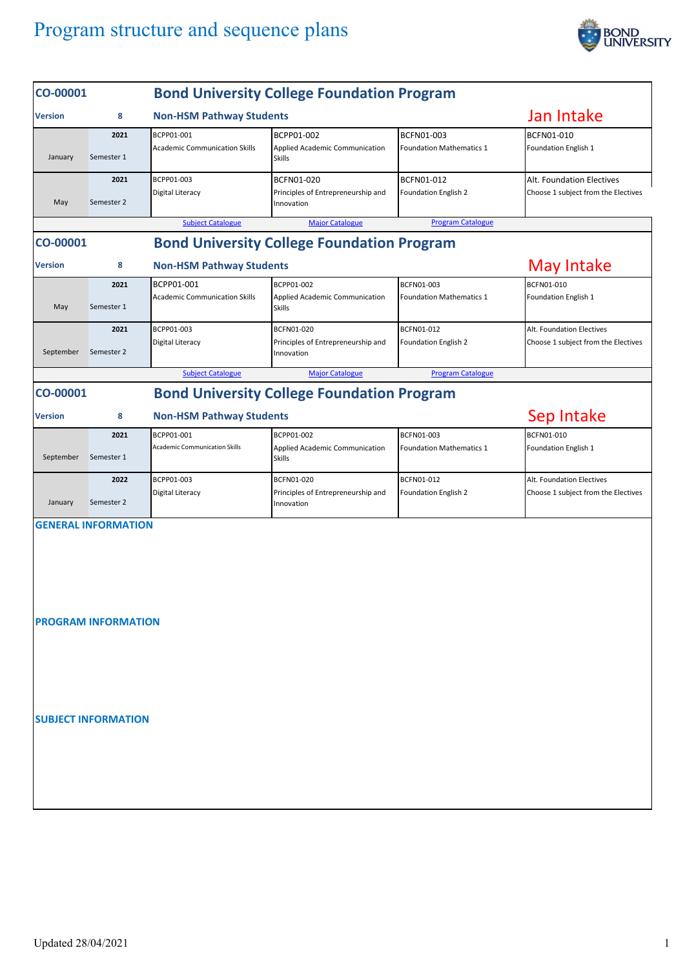## Program structure and sequence plans



| CO-00001                                                                               |                    | <b>Bond University College Foundation Program</b>  |                                                                |                                               |                                                                  |  |  |  |
|----------------------------------------------------------------------------------------|--------------------|----------------------------------------------------|----------------------------------------------------------------|-----------------------------------------------|------------------------------------------------------------------|--|--|--|
| <b>Version</b>                                                                         | 8                  | <b>Non-HSM Pathway Students</b>                    |                                                                |                                               | Jan Intake                                                       |  |  |  |
| January                                                                                | 2021<br>Semester 1 | BCPP01-001<br><b>Academic Communication Skills</b> | BCPP01-002<br>Applied Academic Communication<br><b>Skills</b>  | BCFN01-003<br><b>Foundation Mathematics 1</b> | BCFN01-010<br>Foundation English 1                               |  |  |  |
| May                                                                                    | 2021<br>Semester 2 | BCPP01-003<br>Digital Literacy                     | BCFN01-020<br>Principles of Entrepreneurship and<br>Innovation | BCFN01-012<br>Foundation English 2            | Alt. Foundation Electives<br>Choose 1 subject from the Electives |  |  |  |
| <b>Subject Catalogue</b><br><b>Major Catalogue</b><br><b>Program Catalogue</b>         |                    |                                                    |                                                                |                                               |                                                                  |  |  |  |
| <b>Bond University College Foundation Program</b><br>CO-00001                          |                    |                                                    |                                                                |                                               |                                                                  |  |  |  |
| <b>Version</b>                                                                         | 8                  | <b>Non-HSM Pathway Students</b>                    |                                                                |                                               | May Intake                                                       |  |  |  |
| May                                                                                    | 2021<br>Semester 1 | BCPP01-001<br><b>Academic Communication Skills</b> | BCPP01-002<br>Applied Academic Communication<br><b>Skills</b>  | BCFN01-003<br><b>Foundation Mathematics 1</b> | BCFN01-010<br>Foundation English 1                               |  |  |  |
| September                                                                              | 2021<br>Semester 2 | BCPP01-003<br>Digital Literacy                     | BCFN01-020<br>Principles of Entrepreneurship and<br>Innovation | BCFN01-012<br>Foundation English 2            | Alt. Foundation Electives<br>Choose 1 subject from the Electives |  |  |  |
|                                                                                        |                    | <b>Subject Catalogue</b>                           | <b>Major Catalogue</b>                                         | <b>Program Catalogue</b>                      |                                                                  |  |  |  |
| <b>Bond University College Foundation Program</b><br>CO-00001                          |                    |                                                    |                                                                |                                               |                                                                  |  |  |  |
| <b>Version</b>                                                                         | 8                  |                                                    | Sep Intake                                                     |                                               |                                                                  |  |  |  |
| September                                                                              | 2021<br>Semester 1 | BCPP01-001<br><b>Academic Communication Skills</b> | BCPP01-002<br>Applied Academic Communication<br><b>Skills</b>  | BCFN01-003<br><b>Foundation Mathematics 1</b> | BCFN01-010<br>Foundation English 1                               |  |  |  |
| January                                                                                | 2022<br>Semester 2 | BCPP01-003<br><b>Digital Literacy</b>              | BCFN01-020<br>Principles of Entrepreneurship and<br>Innovation | BCFN01-012<br>Foundation English 2            | Alt. Foundation Electives<br>Choose 1 subject from the Electives |  |  |  |
| <b>GENERAL INFORMATION</b><br><b>PROGRAM INFORMATION</b><br><b>SUBJECT INFORMATION</b> |                    |                                                    |                                                                |                                               |                                                                  |  |  |  |